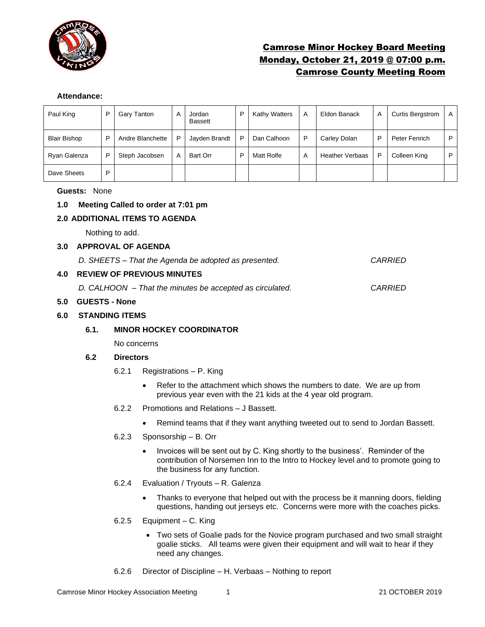

# Camrose Minor Hockey Board Meeting Monday, October 21, 2019 @ 07:00 p.m. Camrose County Meeting Room

### **Attendance:**

| Paul King           | P | Gary Tanton      | A | Jordan<br><b>Bassett</b> | D | <b>Kathy Watters</b> | A | Eldon Banack           | A | <b>Curtis Bergstrom</b> | A |
|---------------------|---|------------------|---|--------------------------|---|----------------------|---|------------------------|---|-------------------------|---|
| <b>Blair Bishop</b> | P | Andre Blanchette | P | Jayden Brandt            | P | Dan Calhoon          | P | Carley Dolan           | P | Peter Fenrich           | P |
| Ryan Galenza        | P | Steph Jacobsen   | A | Bart Orr                 | D | Matt Rolfe           | A | <b>Heather Verbaas</b> | P | Colleen King            | P |
| Dave Sheets         | P |                  |   |                          |   |                      |   |                        |   |                         |   |

## **Guests:** None

# **1.0 Meeting Called to order at 7:01 pm**

## **2.0 ADDITIONAL ITEMS TO AGENDA**

Nothing to add.

#### **3.0 APPROVAL OF AGENDA**

*D. SHEETS – That the Agenda be adopted as presented. CARRIED*

## **4.0 REVIEW OF PREVIOUS MINUTES**

*D. CALHOON – That the minutes be accepted as circulated. CARRIED*

### **5.0 GUESTS - None**

#### **6.0 STANDING ITEMS**

#### **6.1. MINOR HOCKEY COORDINATOR**

No concerns

#### **6.2 Directors**

- 6.2.1 Registrations P. King
	- Refer to the attachment which shows the numbers to date. We are up from previous year even with the 21 kids at the 4 year old program.
- 6.2.2 Promotions and Relations J Bassett.
	- Remind teams that if they want anything tweeted out to send to Jordan Bassett.
- 6.2.3 Sponsorship B. Orr
	- Invoices will be sent out by C. King shortly to the business'. Reminder of the contribution of Norsemen Inn to the Intro to Hockey level and to promote going to the business for any function.
- 6.2.4 Evaluation / Tryouts R. Galenza
	- Thanks to everyone that helped out with the process be it manning doors, fielding questions, handing out jerseys etc. Concerns were more with the coaches picks.
- 6.2.5 Equipment C. King
	- Two sets of Goalie pads for the Novice program purchased and two small straight goalie sticks. All teams were given their equipment and will wait to hear if they need any changes.
- 6.2.6 Director of Discipline H. Verbaas Nothing to report